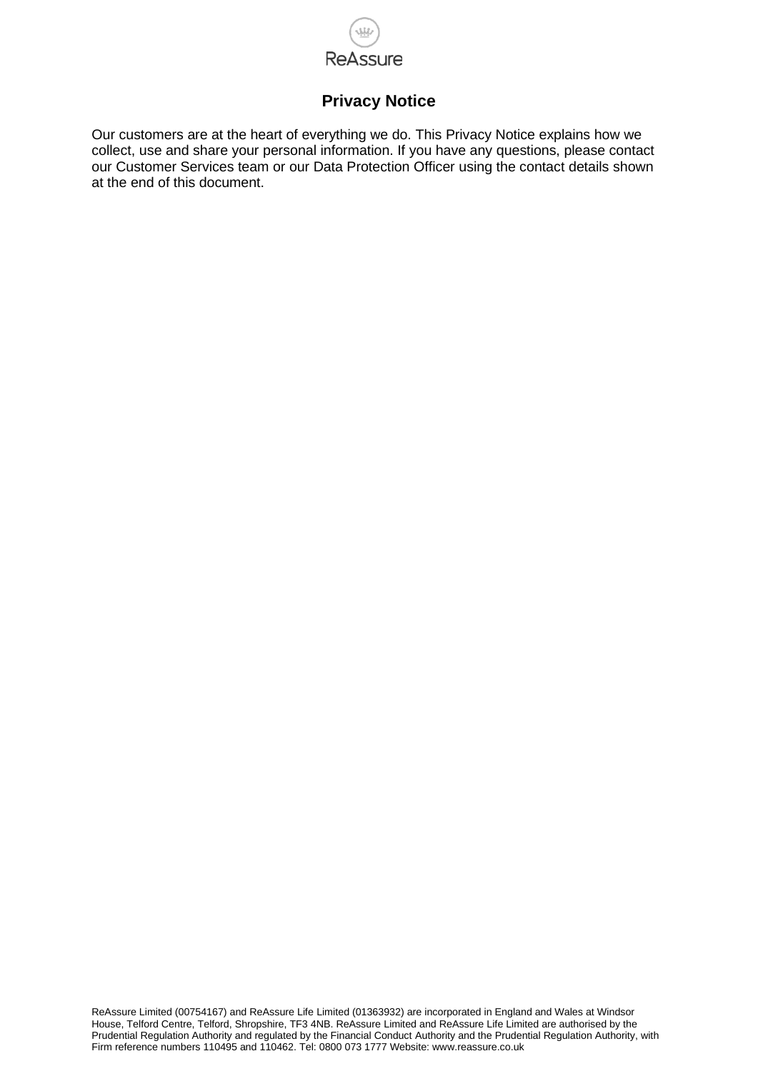

# **Privacy Notice**

Our customers are at the heart of everything we do. This Privacy Notice explains how we collect, use and share your personal information. If you have any questions, please contact our Customer Services team or our Data Protection Officer using the contact details shown at the end of this document.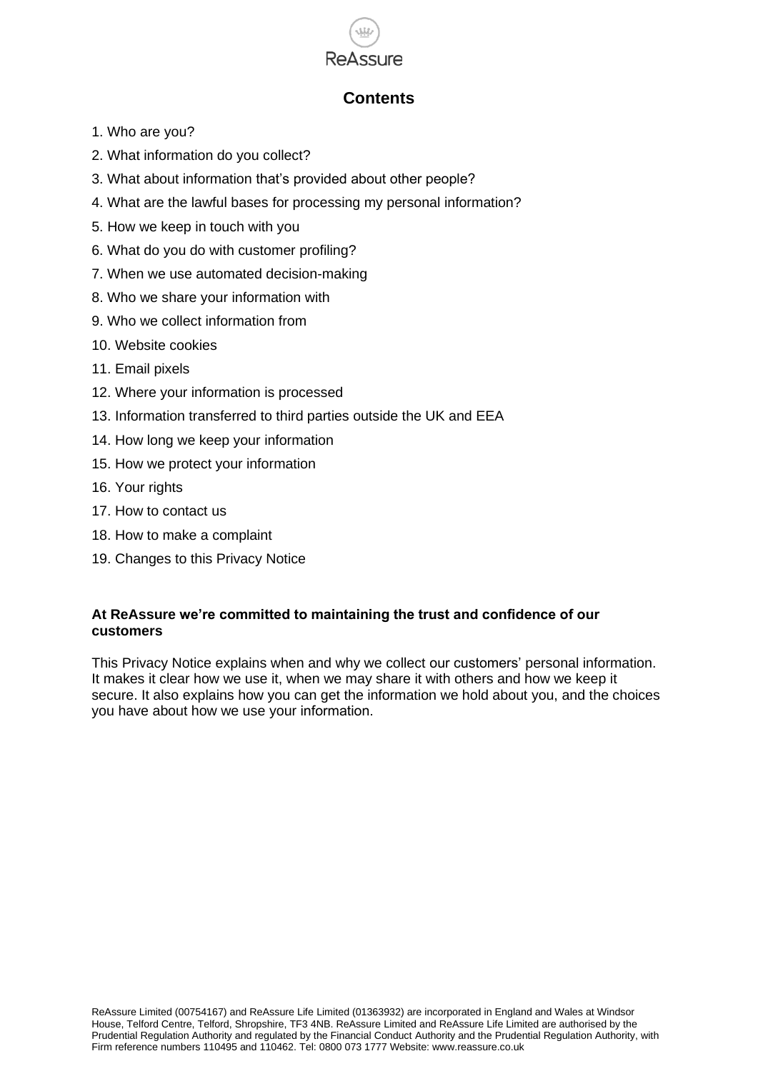

# **Contents**

- 1. Who are you?
- 2. What information do you collect?
- 3. What about information that's provided about other people?
- 4. What are the lawful bases for processing my personal information?
- 5. How we keep in touch with you
- 6. What do you do with customer profiling?
- 7. When we use automated decision-making
- 8. Who we share your information with
- 9. Who we collect information from
- 10. Website cookies
- 11. Email pixels
- 12. Where your information is processed
- 13. Information transferred to third parties outside the UK and EEA
- 14. How long we keep your information
- 15. How we protect your information
- 16. Your rights
- 17. How to contact us
- 18. How to make a complaint
- 19. Changes to this Privacy Notice

# **At ReAssure we're committed to maintaining the trust and confidence of our customers**

This Privacy Notice explains when and why we collect our customers' personal information. It makes it clear how we use it, when we may share it with others and how we keep it secure. It also explains how you can get the information we hold about you, and the choices you have about how we use your information.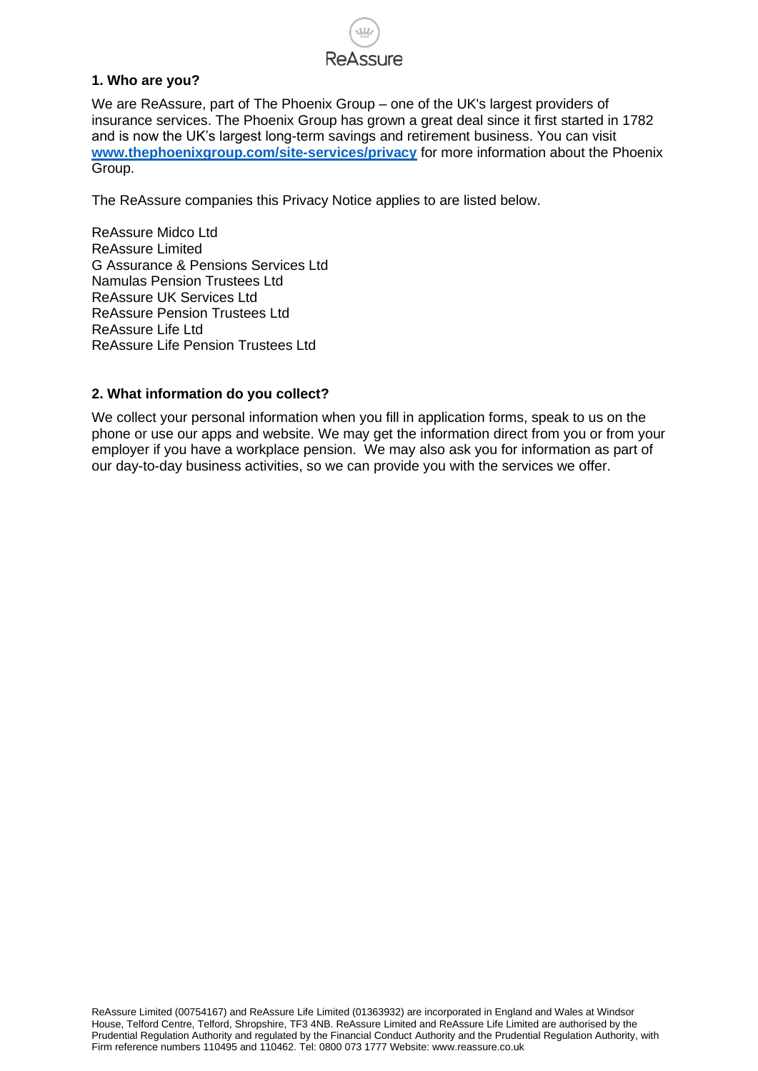# **ReAssure**

# **1. Who are you?**

We are ReAssure, part of The Phoenix Group – one of the UK's largest providers of insurance services. The Phoenix Group has grown a great deal since it first started in 1782 and is now the UK's largest long-term savings and retirement business. You can visit **<www.thephoenixgroup.com/site-services/privacy>** for more information about the Phoenix Group.

The ReAssure companies this Privacy Notice applies to are listed below.

ReAssure Midco Ltd ReAssure Limited G Assurance & Pensions Services Ltd Namulas Pension Trustees Ltd ReAssure UK Services Ltd ReAssure Pension Trustees Ltd ReAssure Life Ltd ReAssure Life Pension Trustees Ltd

# **2. What information do you collect?**

We collect your personal information when you fill in application forms, speak to us on the phone or use our apps and website. We may get the information direct from you or from your employer if you have a workplace pension. We may also ask you for information as part of our day-to-day business activities, so we can provide you with the services we offer.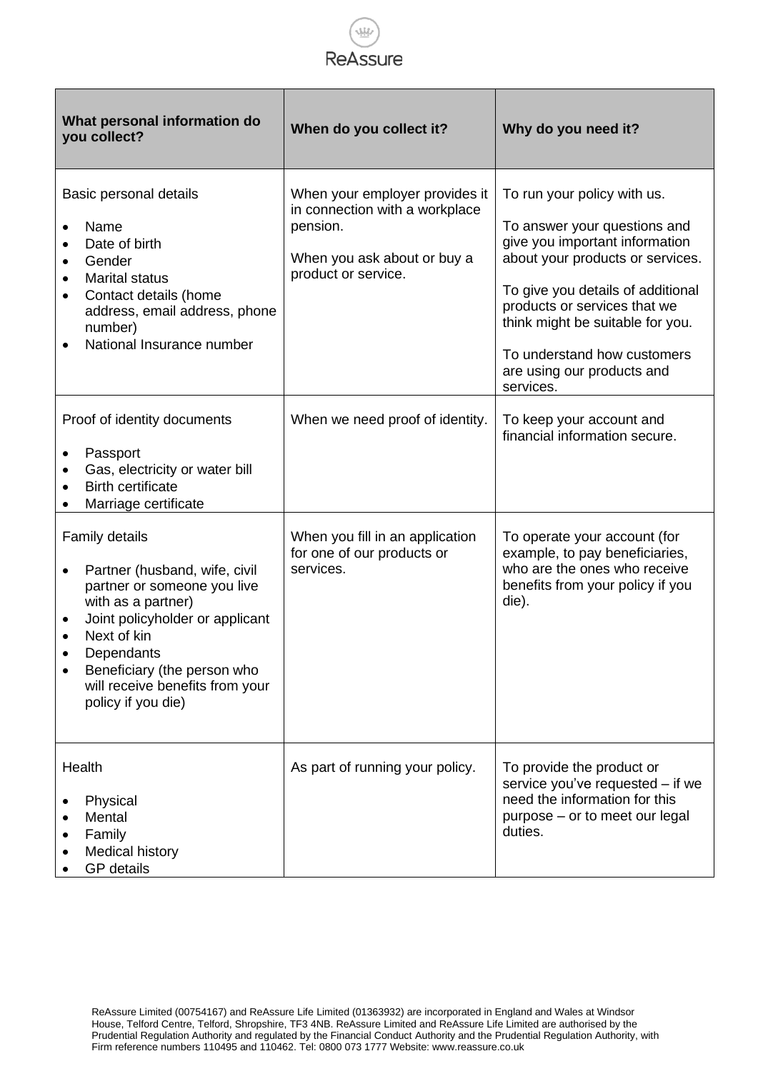

| What personal information do<br>you collect?                                                                                                                                                                                                                                     | When do you collect it?                                                                                                            | Why do you need it?                                                                                                                                                                                                                                                                                                  |
|----------------------------------------------------------------------------------------------------------------------------------------------------------------------------------------------------------------------------------------------------------------------------------|------------------------------------------------------------------------------------------------------------------------------------|----------------------------------------------------------------------------------------------------------------------------------------------------------------------------------------------------------------------------------------------------------------------------------------------------------------------|
| Basic personal details<br>Name<br>Date of birth<br>Gender<br>$\bullet$<br><b>Marital status</b><br>$\bullet$<br>Contact details (home<br>address, email address, phone<br>number)<br>National Insurance number                                                                   | When your employer provides it<br>in connection with a workplace<br>pension.<br>When you ask about or buy a<br>product or service. | To run your policy with us.<br>To answer your questions and<br>give you important information<br>about your products or services.<br>To give you details of additional<br>products or services that we<br>think might be suitable for you.<br>To understand how customers<br>are using our products and<br>services. |
| Proof of identity documents<br>Passport<br>Gas, electricity or water bill<br><b>Birth certificate</b><br>Marriage certificate                                                                                                                                                    | When we need proof of identity.                                                                                                    | To keep your account and<br>financial information secure.                                                                                                                                                                                                                                                            |
| <b>Family details</b><br>Partner (husband, wife, civil<br>$\bullet$<br>partner or someone you live<br>with as a partner)<br>Joint policyholder or applicant<br>Next of kin<br>Dependants<br>Beneficiary (the person who<br>will receive benefits from your<br>policy if you die) | When you fill in an application<br>for one of our products or<br>services.                                                         | To operate your account (for<br>example, to pay beneficiaries,<br>who are the ones who receive<br>benefits from your policy if you<br>die).                                                                                                                                                                          |
| Health<br>Physical<br>Mental<br>Family<br>Medical history<br><b>GP</b> details                                                                                                                                                                                                   | As part of running your policy.                                                                                                    | To provide the product or<br>service you've requested - if we<br>need the information for this<br>purpose - or to meet our legal<br>duties.                                                                                                                                                                          |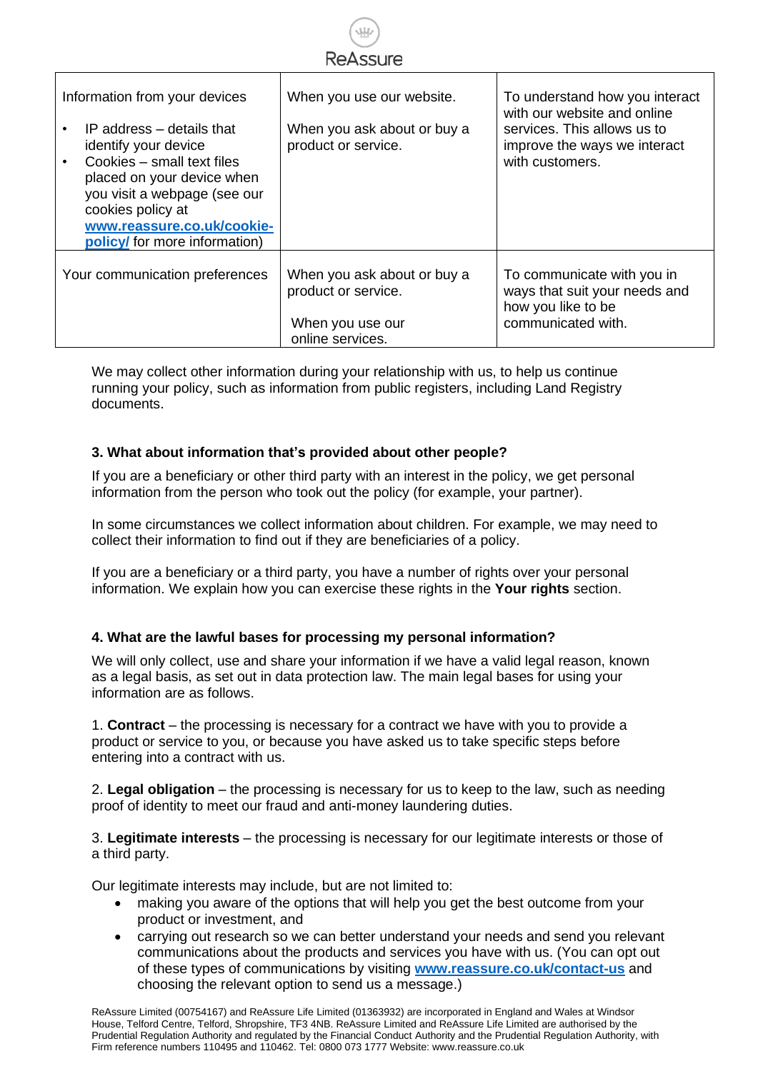

| Information from your devices<br>IP address – details that<br>identify your device<br>Cookies - small text files<br>placed on your device when<br>you visit a webpage (see our<br>cookies policy at | When you use our website.<br>When you ask about or buy a<br>product or service.            | To understand how you interact<br>with our website and online<br>services. This allows us to<br>improve the ways we interact<br>with customers. |
|-----------------------------------------------------------------------------------------------------------------------------------------------------------------------------------------------------|--------------------------------------------------------------------------------------------|-------------------------------------------------------------------------------------------------------------------------------------------------|
| www.reassure.co.uk/cookie-<br>policy/ for more information)                                                                                                                                         |                                                                                            |                                                                                                                                                 |
| Your communication preferences                                                                                                                                                                      | When you ask about or buy a<br>product or service.<br>When you use our<br>online services. | To communicate with you in<br>ways that suit your needs and<br>how you like to be<br>communicated with.                                         |

We may collect other information during your relationship with us, to help us continue running your policy, such as information from public registers, including Land Registry documents.

# **3. What about information that's provided about other people?**

If you are a beneficiary or other third party with an interest in the policy, we get personal information from the person who took out the policy (for example, your partner).

In some circumstances we collect information about children. For example, we may need to collect their information to find out if they are beneficiaries of a policy.

If you are a beneficiary or a third party, you have a number of rights over your personal information. We explain how you can exercise these rights in the **Your rights** section.

# **4. What are the lawful bases for processing my personal information?**

We will only collect, use and share your information if we have a valid legal reason, known as a legal basis, as set out in data protection law. The main legal bases for using your information are as follows.

1. **Contract** – the processing is necessary for a contract we have with you to provide a product or service to you, or because you have asked us to take specific steps before entering into a contract with us.

2. **Legal obligation** – the processing is necessary for us to keep to the law, such as needing proof of identity to meet our fraud and anti-money laundering duties.

3. **Legitimate interests** – the processing is necessary for our legitimate interests or those of a third party.

Our legitimate interests may include, but are not limited to:

- making you aware of the options that will help you get the best outcome from your product or investment, and
- carrying out research so we can better understand your needs and send you relevant communications about the products and services you have with us. (You can opt out of these types of communications by visiting **<www.reassure.co.uk/contact-us>** and choosing the relevant option to send us a message.)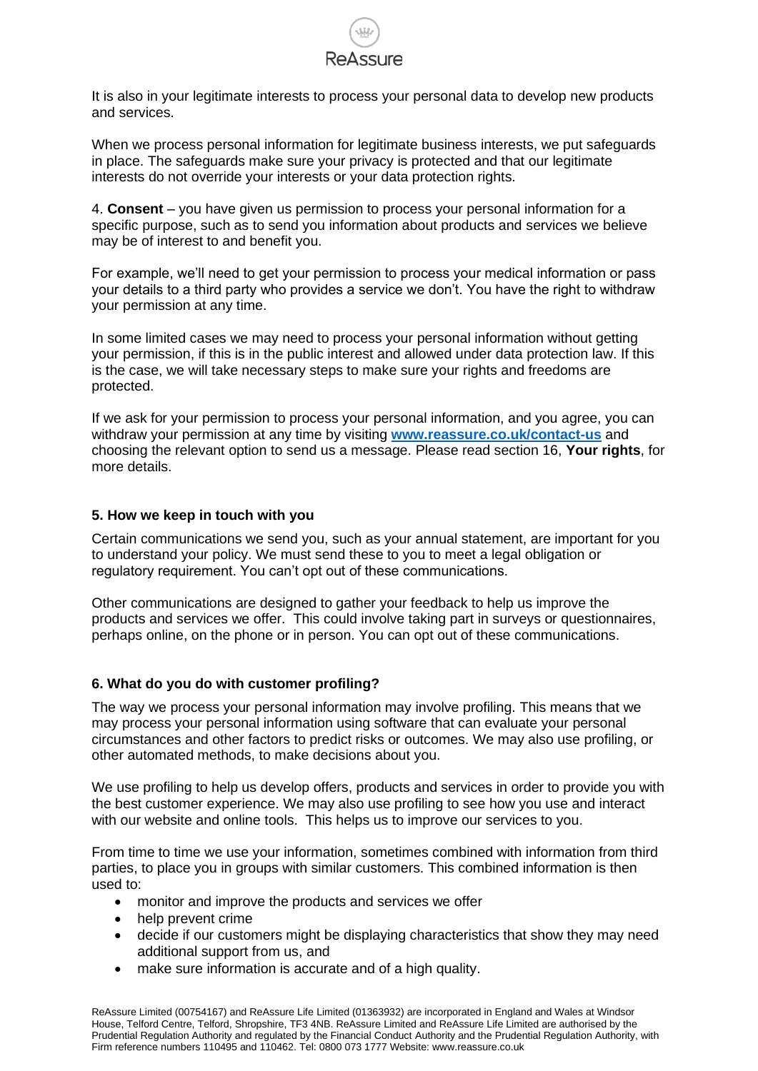

It is also in your legitimate interests to process your personal data to develop new products and services.

When we process personal information for legitimate business interests, we put safeguards in place. The safeguards make sure your privacy is protected and that our legitimate interests do not override your interests or your data protection rights.

4. **Consent** – you have given us permission to process your personal information for a specific purpose, such as to send you information about products and services we believe may be of interest to and benefit you.

For example, we'll need to get your permission to process your medical information or pass your details to a third party who provides a service we don't. You have the right to withdraw your permission at any time.

In some limited cases we may need to process your personal information without getting your permission, if this is in the public interest and allowed under data protection law. If this is the case, we will take necessary steps to make sure your rights and freedoms are protected.

If we ask for your permission to process your personal information, and you agree, you can withdraw your permission at any time by visiting **<www.reassure.co.uk/contact-us>** and choosing the relevant option to send us a message. Please read section 16, **Your rights**, for more details.

#### **5. How we keep in touch with you**

Certain communications we send you, such as your annual statement, are important for you to understand your policy. We must send these to you to meet a legal obligation or regulatory requirement. You can't opt out of these communications.

Other communications are designed to gather your feedback to help us improve the products and services we offer. This could involve taking part in surveys or questionnaires, perhaps online, on the phone or in person. You can opt out of these communications.

#### **6. What do you do with customer profiling?**

The way we process your personal information may involve profiling. This means that we may process your personal information using software that can evaluate your personal circumstances and other factors to predict risks or outcomes. We may also use profiling, or other automated methods, to make decisions about you.

We use profiling to help us develop offers, products and services in order to provide you with the best customer experience. We may also use profiling to see how you use and interact with our website and online tools. This helps us to improve our services to you.

From time to time we use your information, sometimes combined with information from third parties, to place you in groups with similar customers. This combined information is then used to:

- monitor and improve the products and services we offer
- help prevent crime
- decide if our customers might be displaying characteristics that show they may need additional support from us, and
- make sure information is accurate and of a high quality.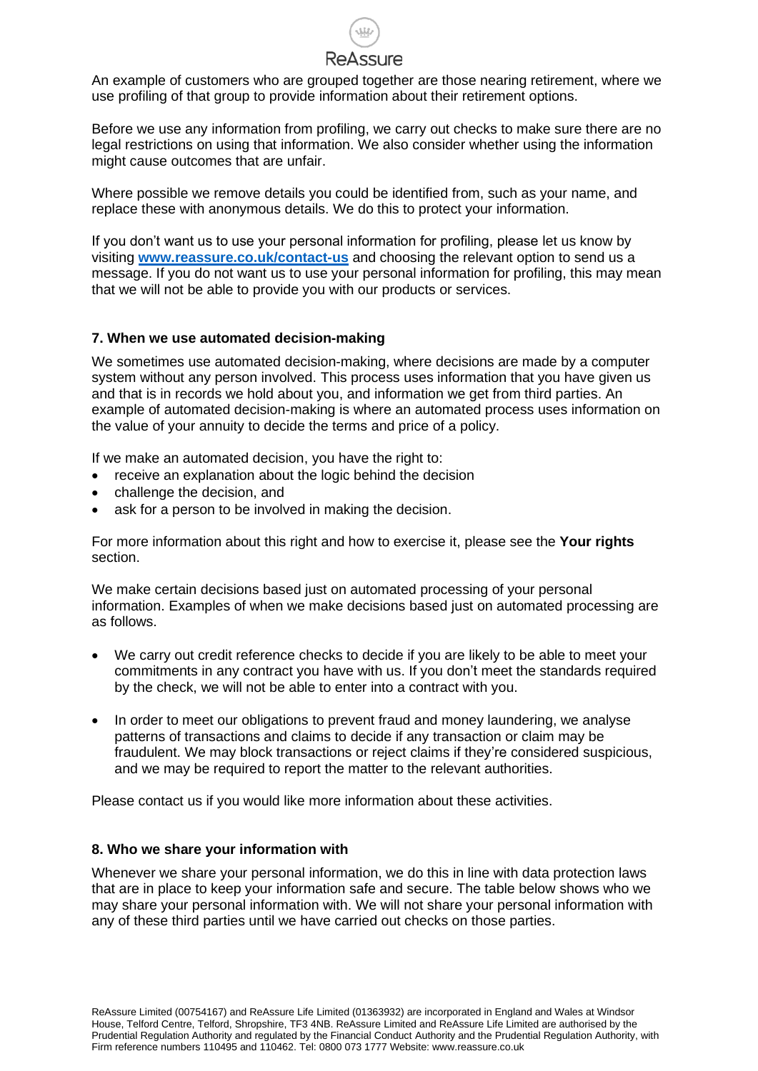An example of customers who are grouped together are those nearing retirement, where we use profiling of that group to provide information about their retirement options.

Before we use any information from profiling, we carry out checks to make sure there are no legal restrictions on using that information. We also consider whether using the information might cause outcomes that are unfair.

Where possible we remove details you could be identified from, such as your name, and replace these with anonymous details. We do this to protect your information.

If you don't want us to use your personal information for profiling, please let us know by visiting **<www.reassure.co.uk/contact-us>** and choosing the relevant option to send us a message. If you do not want us to use your personal information for profiling, this may mean that we will not be able to provide you with our products or services.

# **7. When we use automated decision-making**

We sometimes use automated decision-making, where decisions are made by a computer system without any person involved. This process uses information that you have given us and that is in records we hold about you, and information we get from third parties. An example of automated decision-making is where an automated process uses information on the value of your annuity to decide the terms and price of a policy.

If we make an automated decision, you have the right to:

- receive an explanation about the logic behind the decision
- challenge the decision, and
- ask for a person to be involved in making the decision.

For more information about this right and how to exercise it, please see the **Your rights** section.

We make certain decisions based just on automated processing of your personal information. Examples of when we make decisions based just on automated processing are as follows.

- We carry out credit reference checks to decide if you are likely to be able to meet your commitments in any contract you have with us. If you don't meet the standards required by the check, we will not be able to enter into a contract with you.
- In order to meet our obligations to prevent fraud and money laundering, we analyse patterns of transactions and claims to decide if any transaction or claim may be fraudulent. We may block transactions or reject claims if they're considered suspicious, and we may be required to report the matter to the relevant authorities.

Please contact us if you would like more information about these activities.

# **8. Who we share your information with**

Whenever we share your personal information, we do this in line with data protection laws that are in place to keep your information safe and secure. The table below shows who we may share your personal information with. We will not share your personal information with any of these third parties until we have carried out checks on those parties.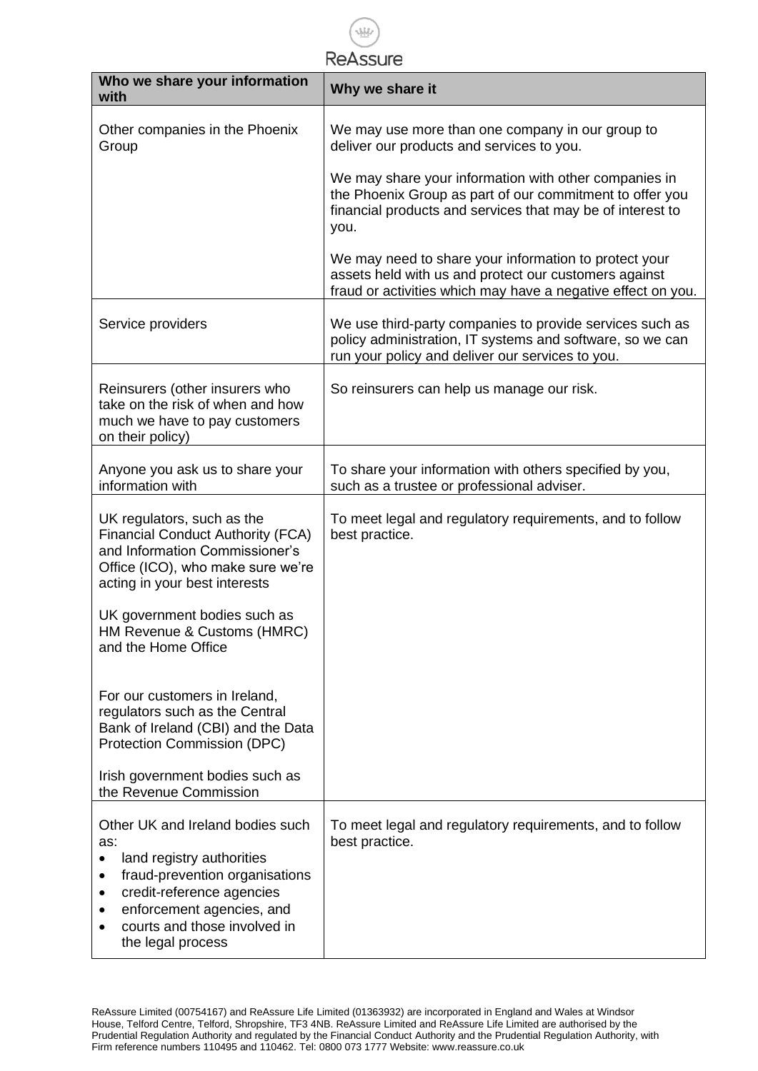$\frac{\sqrt{1.1}}{1.1}$ Reassure

| Who we share your information                                                                                                                                                                                                   | Why we share it                                                                                                                                                                         |
|---------------------------------------------------------------------------------------------------------------------------------------------------------------------------------------------------------------------------------|-----------------------------------------------------------------------------------------------------------------------------------------------------------------------------------------|
| with                                                                                                                                                                                                                            |                                                                                                                                                                                         |
| Other companies in the Phoenix<br>Group                                                                                                                                                                                         | We may use more than one company in our group to<br>deliver our products and services to you.                                                                                           |
|                                                                                                                                                                                                                                 | We may share your information with other companies in<br>the Phoenix Group as part of our commitment to offer you<br>financial products and services that may be of interest to<br>you. |
|                                                                                                                                                                                                                                 | We may need to share your information to protect your<br>assets held with us and protect our customers against<br>fraud or activities which may have a negative effect on you.          |
| Service providers                                                                                                                                                                                                               | We use third-party companies to provide services such as<br>policy administration, IT systems and software, so we can<br>run your policy and deliver our services to you.               |
| Reinsurers (other insurers who<br>take on the risk of when and how<br>much we have to pay customers<br>on their policy)                                                                                                         | So reinsurers can help us manage our risk.                                                                                                                                              |
| Anyone you ask us to share your<br>information with                                                                                                                                                                             | To share your information with others specified by you,<br>such as a trustee or professional adviser.                                                                                   |
| UK regulators, such as the<br><b>Financial Conduct Authority (FCA)</b><br>and Information Commissioner's<br>Office (ICO), who make sure we're<br>acting in your best interests                                                  | To meet legal and regulatory requirements, and to follow<br>best practice.                                                                                                              |
| UK government bodies such as<br>HM Revenue & Customs (HMRC)<br>and the Home Office                                                                                                                                              |                                                                                                                                                                                         |
| For our customers in Ireland,<br>regulators such as the Central<br>Bank of Ireland (CBI) and the Data<br>Protection Commission (DPC)                                                                                            |                                                                                                                                                                                         |
| Irish government bodies such as<br>the Revenue Commission                                                                                                                                                                       |                                                                                                                                                                                         |
| Other UK and Ireland bodies such<br>as:<br>land registry authorities<br>fraud-prevention organisations<br>٠<br>credit-reference agencies<br>٠<br>enforcement agencies, and<br>courts and those involved in<br>the legal process | To meet legal and regulatory requirements, and to follow<br>best practice.                                                                                                              |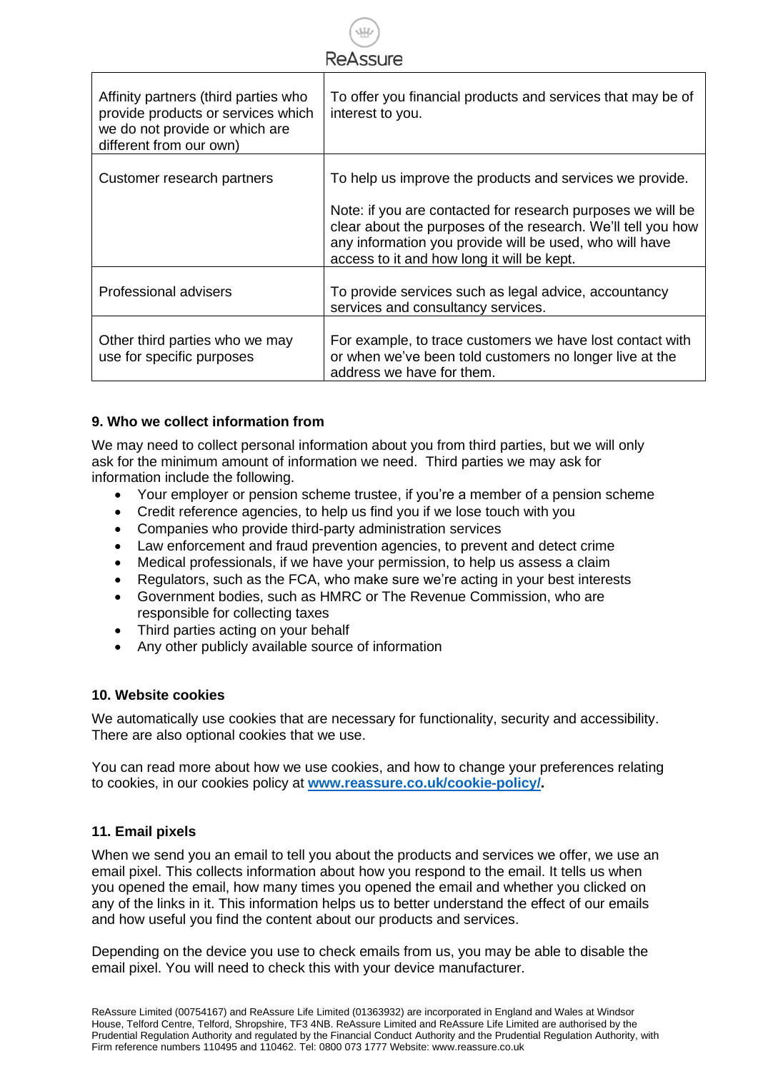| <b>ReAssure</b>                                                                                                                         |                                                                                                                                                                                                                                                                                                  |  |
|-----------------------------------------------------------------------------------------------------------------------------------------|--------------------------------------------------------------------------------------------------------------------------------------------------------------------------------------------------------------------------------------------------------------------------------------------------|--|
| Affinity partners (third parties who<br>provide products or services which<br>we do not provide or which are<br>different from our own) | To offer you financial products and services that may be of<br>interest to you.                                                                                                                                                                                                                  |  |
| Customer research partners                                                                                                              | To help us improve the products and services we provide.<br>Note: if you are contacted for research purposes we will be<br>clear about the purposes of the research. We'll tell you how<br>any information you provide will be used, who will have<br>access to it and how long it will be kept. |  |
| Professional advisers                                                                                                                   | To provide services such as legal advice, accountancy<br>services and consultancy services.                                                                                                                                                                                                      |  |
| Other third parties who we may<br>use for specific purposes                                                                             | For example, to trace customers we have lost contact with<br>or when we've been told customers no longer live at the<br>address we have for them.                                                                                                                                                |  |

# **9. Who we collect information from**

We may need to collect personal information about you from third parties, but we will only ask for the minimum amount of information we need. Third parties we may ask for information include the following.

- Your employer or pension scheme trustee, if you're a member of a pension scheme
- Credit reference agencies, to help us find you if we lose touch with you
- Companies who provide third-party administration services
- Law enforcement and fraud prevention agencies, to prevent and detect crime
- Medical professionals, if we have your permission, to help us assess a claim
- Regulators, such as the FCA, who make sure we're acting in your best interests
- Government bodies, such as HMRC or The Revenue Commission, who are responsible for collecting taxes
- Third parties acting on your behalf
- Any other publicly available source of information

# **10. Website cookies**

We automatically use cookies that are necessary for functionality, security and accessibility. There are also optional cookies that we use.

You can read more about how we use cookies, and how to change your preferences relating to cookies, in our cookies policy at **[www.reassure.co.uk/cookie-policy/.](www.reassure.co.uk/cookie-policy/)**

# **11. Email pixels**

When we send you an email to tell you about the products and services we offer, we use an email pixel. This collects information about how you respond to the email. It tells us when you opened the email, how many times you opened the email and whether you clicked on any of the links in it. This information helps us to better understand the effect of our emails and how useful you find the content about our products and services.

Depending on the device you use to check emails from us, you may be able to disable the email pixel. You will need to check this with your device manufacturer.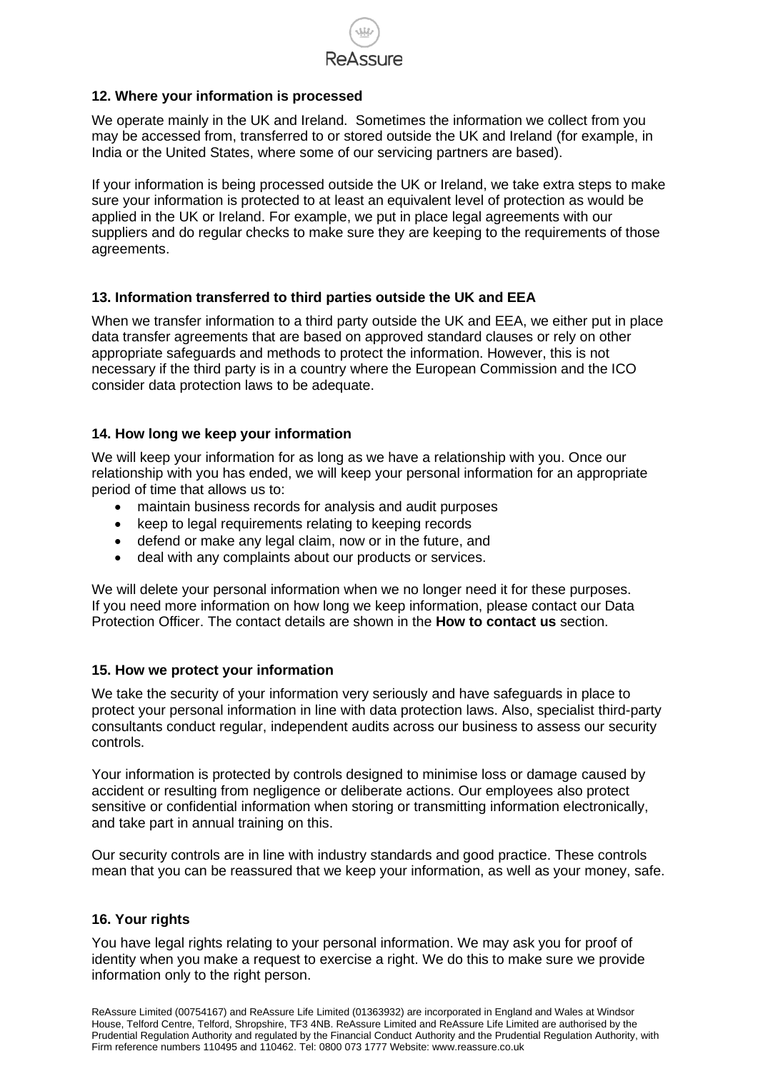

# **12. Where your information is processed**

We operate mainly in the UK and Ireland. Sometimes the information we collect from you may be accessed from, transferred to or stored outside the UK and Ireland (for example, in India or the United States, where some of our servicing partners are based).

If your information is being processed outside the UK or Ireland, we take extra steps to make sure your information is protected to at least an equivalent level of protection as would be applied in the UK or Ireland. For example, we put in place legal agreements with our suppliers and do regular checks to make sure they are keeping to the requirements of those agreements.

# **13. Information transferred to third parties outside the UK and EEA**

When we transfer information to a third party outside the UK and EEA, we either put in place data transfer agreements that are based on approved standard clauses or rely on other appropriate safeguards and methods to protect the information. However, this is not necessary if the third party is in a country where the European Commission and the ICO consider data protection laws to be adequate.

# **14. How long we keep your information**

We will keep your information for as long as we have a relationship with you. Once our relationship with you has ended, we will keep your personal information for an appropriate period of time that allows us to:

- maintain business records for analysis and audit purposes
- keep to legal requirements relating to keeping records
- defend or make any legal claim, now or in the future, and
- deal with any complaints about our products or services.

We will delete your personal information when we no longer need it for these purposes. If you need more information on how long we keep information, please contact our Data Protection Officer. The contact details are shown in the **How to contact us** section.

# **15. How we protect your information**

We take the security of your information very seriously and have safeguards in place to protect your personal information in line with data protection laws. Also, specialist third-party consultants conduct regular, independent audits across our business to assess our security controls.

Your information is protected by controls designed to minimise loss or damage caused by accident or resulting from negligence or deliberate actions. Our employees also protect sensitive or confidential information when storing or transmitting information electronically, and take part in annual training on this.

Our security controls are in line with industry standards and good practice. These controls mean that you can be reassured that we keep your information, as well as your money, safe.

# **16. Your rights**

You have legal rights relating to your personal information. We may ask you for proof of identity when you make a request to exercise a right. We do this to make sure we provide information only to the right person.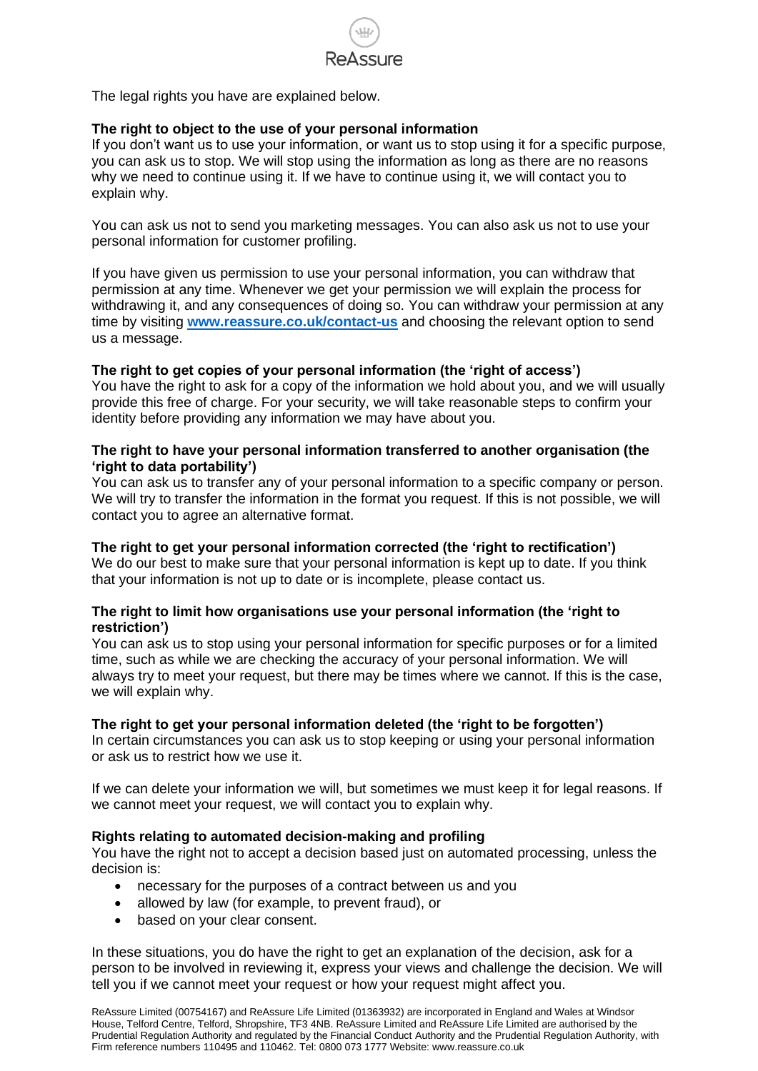

The legal rights you have are explained below.

# **The right to object to the use of your personal information**

If you don't want us to use your information, or want us to stop using it for a specific purpose, you can ask us to stop. We will stop using the information as long as there are no reasons why we need to continue using it. If we have to continue using it, we will contact you to explain why.

You can ask us not to send you marketing messages. You can also ask us not to use your personal information for customer profiling.

If you have given us permission to use your personal information, you can withdraw that permission at any time. Whenever we get your permission we will explain the process for withdrawing it, and any consequences of doing so. You can withdraw your permission at any time by visiting **<www.reassure.co.uk/contact-us>** and choosing the relevant option to send us a message.

#### **The right to get copies of your personal information (the 'right of access')**

You have the right to ask for a copy of the information we hold about you, and we will usually provide this free of charge. For your security, we will take reasonable steps to confirm your identity before providing any information we may have about you.

#### **The right to have your personal information transferred to another organisation (the 'right to data portability')**

You can ask us to transfer any of your personal information to a specific company or person. We will try to transfer the information in the format you request. If this is not possible, we will contact you to agree an alternative format.

#### **The right to get your personal information corrected (the 'right to rectification')**

We do our best to make sure that your personal information is kept up to date. If you think that your information is not up to date or is incomplete, please contact us.

#### **The right to limit how organisations use your personal information (the 'right to restriction')**

You can ask us to stop using your personal information for specific purposes or for a limited time, such as while we are checking the accuracy of your personal information. We will always try to meet your request, but there may be times where we cannot. If this is the case, we will explain why.

#### **The right to get your personal information deleted (the 'right to be forgotten')**

In certain circumstances you can ask us to stop keeping or using your personal information or ask us to restrict how we use it.

If we can delete your information we will, but sometimes we must keep it for legal reasons. If we cannot meet your request, we will contact you to explain why.

#### **Rights relating to automated decision-making and profiling**

You have the right not to accept a decision based just on automated processing, unless the decision is:

- necessary for the purposes of a contract between us and you
- allowed by law (for example, to prevent fraud), or
- based on your clear consent.

In these situations, you do have the right to get an explanation of the decision, ask for a person to be involved in reviewing it, express your views and challenge the decision. We will tell you if we cannot meet your request or how your request might affect you.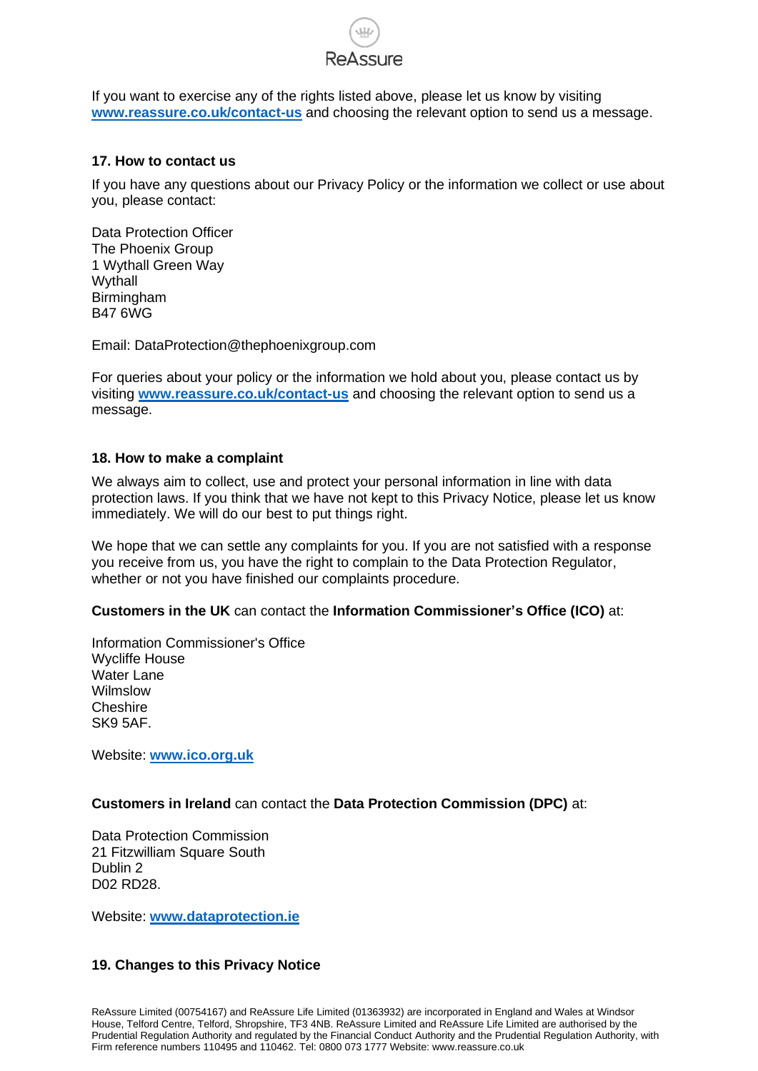

If you want to exercise any of the rights listed above, please let us know by visiting **<www.reassure.co.uk/contact-us>** and choosing the relevant option to send us a message.

#### **17. How to contact us**

If you have any questions about our Privacy Policy or the information we collect or use about you, please contact:

Data Protection Officer The Phoenix Group 1 Wythall Green Way Wythall Birmingham B47 6WG

Email: DataProtection@thephoenixgroup.com

For queries about your policy or the information we hold about you, please contact us by visiting **<www.reassure.co.uk/contact-us>** and choosing the relevant option to send us a message.

#### **18. How to make a complaint**

We always aim to collect, use and protect your personal information in line with data protection laws. If you think that we have not kept to this Privacy Notice, please let us know immediately. We will do our best to put things right.

We hope that we can settle any complaints for you. If you are not satisfied with a response you receive from us, you have the right to complain to the Data Protection Regulator, whether or not you have finished our complaints procedure.

# **Customers in the UK** can contact the **Information Commissioner's Office (ICO)** at:

Information Commissioner's Office Wycliffe House Water Lane Wilmslow **Cheshire** SK9 5AF.

Website: **<www.ico.org.uk>**

# **Customers in Ireland** can contact the **Data Protection Commission (DPC)** at:

Data Protection Commission 21 Fitzwilliam Square South Dublin 2 D02 RD28.

Website: **<www.dataprotection.ie>**

# **19. Changes to this Privacy Notice**